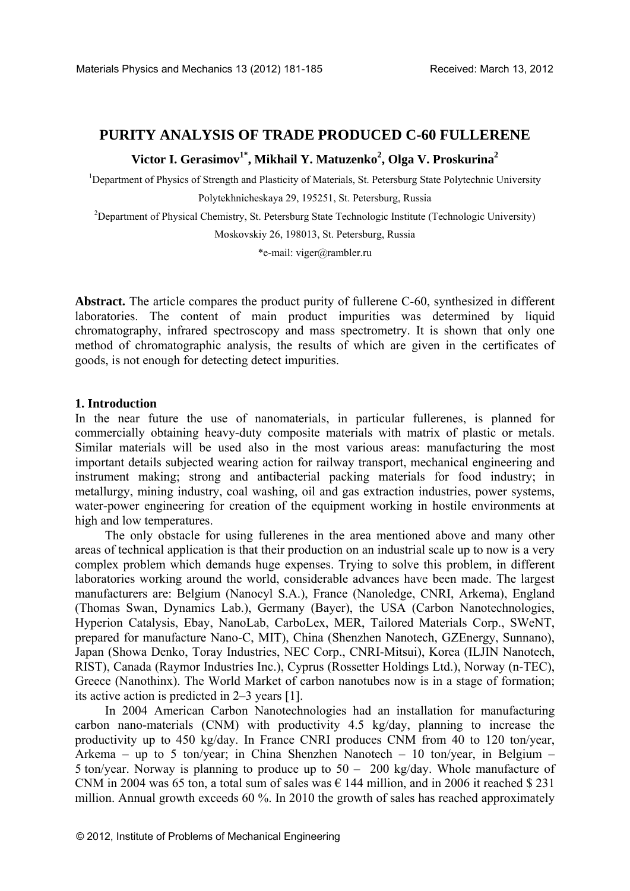# **PURITY ANALYSIS OF TRADE PRODUCED C-60 FULLERENE**

Victor I. Gerasimov<sup>1\*</sup>, Mikhail Y. Matuzenko<sup>2</sup>, Olga V. Proskurina<sup>2</sup>

<sup>1</sup>Department of Physics of Strength and Plasticity of Materials, St. Petersburg State Polytechnic University Polytekhnicheskaya 29, 195251, St. Petersburg, Russia

<sup>2</sup>Department of Physical Chemistry, St. Petersburg State Technologic Institute (Technologic University)

Moskovskiy 26, 198013, St. Petersburg, Russia

\*e-mail: viger@rambler.ru

**Abstract.** The article compares the product purity of fullerene C-60, synthesized in different laboratories. The content of main product impurities was determined by liquid chromatography, infrared spectroscopy and mass spectrometry. It is shown that only one method of chromatographic analysis, the results of which are given in the certificates of goods, is not enough for detecting detect impurities.

## **1. Introduction**

In the near future the use of nanomaterials, in particular fullerenes, is planned for commercially obtaining heavy-duty composite materials with matrix of plastic or metals. Similar materials will be used also in the most various areas: manufacturing the most important details subjected wearing action for railway transport, mechanical engineering and instrument making; strong and antibacterial packing materials for food industry; in metallurgy, mining industry, coal washing, oil and gas extraction industries, power systems, water-power engineering for creation of the equipment working in hostile environments at high and low temperatures.

The only obstacle for using fullerenes in the area mentioned above and many other areas of technical application is that their production on an industrial scale up to now is a very complex problem which demands huge expenses. Trying to solve this problem, in different laboratories working around the world, considerable advances have been made. The largest manufacturers are: Belgium (Nanocyl S.A.), France (Nanoledge, CNRI, Arkema), England (Thomas Swan, Dynamics Lab.), Germany (Bayer), the USA (Carbon Nanotechnologies, Hyperion Catalysis, Ebay, NanoLab, CarboLex, MER, Tailored Materials Corp., SWeNT, prepared for manufacture Nano-C, MIT), China (Shenzhen Nanotech, GZEnergy, Sunnano), Japan (Showa Denko, Toray Industries, NEC Corp., CNRI-Mitsui), Korea (ILJIN Nanotech, RIST), Canada (Raymor Industries Inc.), Cyprus (Rossetter Holdings Ltd.), Norway (n-TEC), Greece (Nanothinx). The World Market of carbon nanotubes now is in a stage of formation; its active action is predicted in 2–3 years [1].

In 2004 American Carbon Nanotechnologies had an installation for manufacturing carbon nano-materials (CNM) with productivity 4.5 kg/day, planning to increase the productivity up to 450 kg/day. In France CNRI produces CNM from 40 to 120 ton/year, Arkema – up to 5 ton/year; in China Shenzhen Nanotech – 10 ton/year, in Belgium – 5 ton/year. Norway is planning to produce up to 50 – 200 kg/day. Whole manufacture of CNM in 2004 was 65 ton, a total sum of sales was  $\epsilon$  144 million, and in 2006 it reached \$ 231 million. Annual growth exceeds 60 %. In 2010 the growth of sales has reached approximately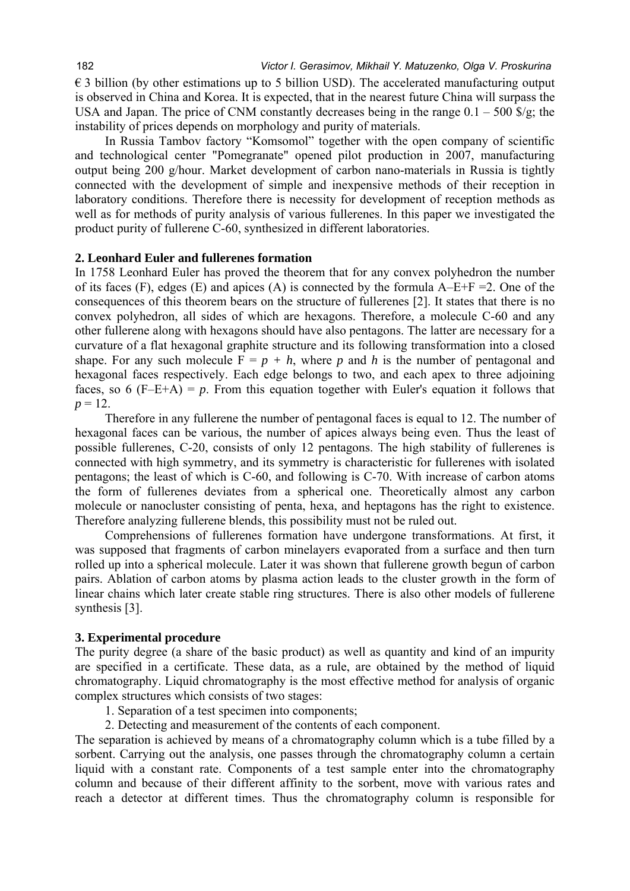$\epsilon$  3 billion (by other estimations up to 5 billion USD). The accelerated manufacturing output is observed in China and Korea. It is expected, that in the nearest future China will surpass the USA and Japan. The price of CNM constantly decreases being in the range  $0.1 - 500$  \$/g; the instability of prices depends on morphology and purity of materials.

In Russia Tambov factory "Komsomol" together with the open company of scientific and technological center "Pomegranate" opened pilot production in 2007, manufacturing output being 200 g/hour. Market development of carbon nano-materials in Russia is tightly connected with the development of simple and inexpensive methods of their reception in laboratory conditions. Therefore there is necessity for development of reception methods as well as for methods of purity analysis of various fullerenes. In this paper we investigated the product purity of fullerene C-60, synthesized in different laboratories.

## **2. Leonhard Euler and fullerenes formation**

In 1758 Leonhard Euler has proved the theorem that for any convex polyhedron the number of its faces (F), edges (E) and apices (A) is connected by the formula  $A-E+F = 2$ . One of the consequences of this theorem bears on the structure of fullerenes [2]. It states that there is no convex polyhedron, all sides of which are hexagons. Therefore, a molecule С-60 and any other fullerene along with hexagons should have also pentagons. The latter are necessary for a curvature of a flat hexagonal graphite structure and its following transformation into a closed shape. For any such molecule  $F = p + h$ , where p and h is the number of pentagonal and hexagonal faces respectively. Each edge belongs to two, and each apex to three adjoining faces, so 6  $(F-E+A) = p$ . From this equation together with Euler's equation it follows that  $p = 12$ .

Therefore in any fullerene the number of pentagonal faces is equal to 12. The number of hexagonal faces can be various, the number of apices always being even. Thus the least of possible fullerenes, С-20, consists of only 12 pentagons. The high stability of fullerenes is connected with high symmetry, and its symmetry is characteristic for fullerenes with isolated pentagons; the least of which is С-60, and following is С-70. With increase of carbon atoms the form of fullerenes deviates from a spherical one. Theoretically almost any carbon molecule or nanocluster consisting of penta, hexa, and heptagons has the right to existence. Therefore analyzing fullerene blends, this possibility must not be ruled out.

Comprehensions of fullerenes formation have undergone transformations. At first, it was supposed that fragments of carbon minelayers evaporated from a surface and then turn rolled up into a spherical molecule. Later it was shown that fullerene growth begun of carbon pairs. Ablation of carbon atoms by plasma action leads to the cluster growth in the form of linear chains which later create stable ring structures. There is also other models of fullerene synthesis [3].

#### **3. Experimental procedure**

The purity degree (a share of the basic product) as well as quantity and kind of an impurity are specified in a certificate. These data, as a rule, are obtained by the method of liquid chromatography. Liquid chromatography is the most effective method for analysis of organic complex structures which consists of two stages:

- 1. Separation of a test specimen into components;
- 2. Detecting and measurement of the contents of each component.

The separation is achieved by means of a chromatography column which is a tube filled by a sorbent. Carrying out the analysis, one passes through the chromatography column a certain liquid with a constant rate. Components of a test sample enter into the chromatography column and because of their different affinity to the sorbent, move with various rates and reach a detector at different times. Thus the chromatography column is responsible for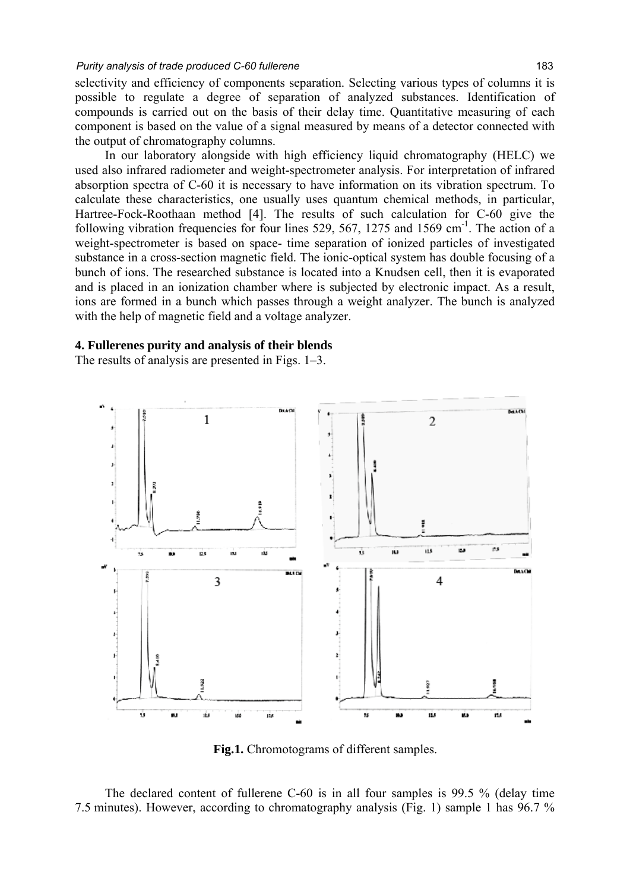#### *Purity analysis of trade produced C-60 fullerene* 183

selectivity and efficiency of components separation. Selecting various types of columns it is possible to regulate a degree of separation of analyzed substances. Identification of compounds is carried out on the basis of their delay time. Quantitative measuring of each component is based on the value of a signal measured by means of a detector connected with the output of chromatography columns.

In our laboratory alongside with high efficiency liquid chromatography (HELC) we used also infrared radiometer and weight-spectrometer analysis. For interpretation of infrared absorption spectra of С-60 it is necessary to have information on its vibration spectrum. To calculate these characteristics, one usually uses quantum chemical methods, in particular, Hartree-Fock-Roothaan method [4]. The results of such calculation for C-60 give the following vibration frequencies for four lines 529, 567, 1275 and 1569 cm<sup>-1</sup>. The action of a weight-spectrometer is based on space- time separation of ionized particles of investigated substance in a cross-section magnetic field. The ionic-optical system has double focusing of a bunch of ions. The researched substance is located into a Knudsen cell, then it is evaporated and is placed in an ionization chamber where is subjected by electronic impact. As a result, ions are formed in a bunch which passes through a weight analyzer. The bunch is analyzed with the help of magnetic field and a voltage analyzer.

## **4. Fullerenes purity and analysis of their blends**

The results of analysis are presented in Figs. 1–3.



**Fig.1.** Chromotograms of different samples.

The declared content of fullerene C-60 is in all four samples is 99.5 % (delay time 7.5 minutes). However, according to chromatography analysis (Fig. 1) sample 1 has 96.7 %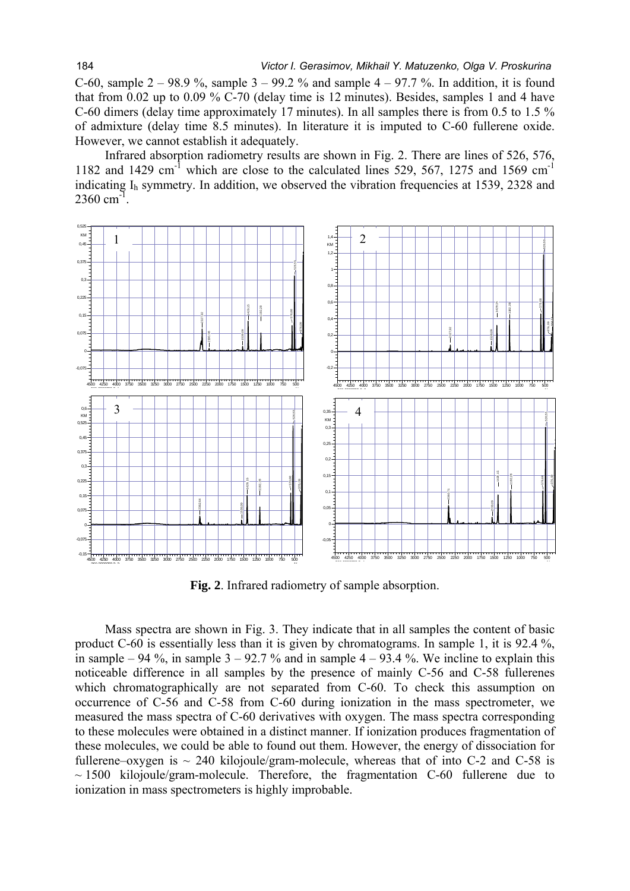C-60, sample  $2 - 98.9$  %, sample  $3 - 99.2$  % and sample  $4 - 97.7$  %. In addition, it is found that from 0.02 up to 0.09 % С-70 (delay time is 12 minutes). Besides, samples 1 and 4 have C-60 dimers (delay time approximately 17 minutes). In all samples there is from 0.5 to 1.5 % of admixture (delay time 8.5 minutes). In literature it is imputed to С-60 fullerene oxide. However, we cannot establish it adequately.

Infrared absorption radiometry results are shown in Fig. 2. There are lines of 526, 576, 1182 and 1429 cm<sup>-1</sup> which are close to the calculated lines 529, 567, 1275 and 1569 cm<sup>-1</sup> indicating  $I<sub>h</sub>$  symmetry. In addition, we observed the vibration frequencies at 1539, 2328 and  $2360 \text{ cm}^{-1}$ .



**Fig. 2**. Infrared radiometry of sample absorption.

Mass spectra are shown in Fig. 3. They indicate that in all samples the content of basic product С-60 is essentially less than it is given by chromatograms. In sample 1, it is 92.4 %, in sample – 94 %, in sample  $3 - 92.7$  % and in sample  $4 - 93.4$  %. We incline to explain this noticeable difference in all samples by the presence of mainly С-56 and С-58 fullerenes which chromatographically are not separated from C-60. To check this assumption on occurrence of С-56 and С-58 from C-60 during ionization in the mass spectrometer, we measured the mass spectra of С-60 derivatives with oxygen. The mass spectra corresponding to these molecules were obtained in a distinct manner. If ionization produces fragmentation of these molecules, we could be able to found out them. However, the energy of dissociation for fullerene–oxygen is  $\sim$  240 kilojoule/gram-molecule, whereas that of into C-2 and C-58 is  $\sim$  1500 kilojoule/gram-molecule. Therefore, the fragmentation C-60 fullerene due to ionization in mass spectrometers is highly improbable.